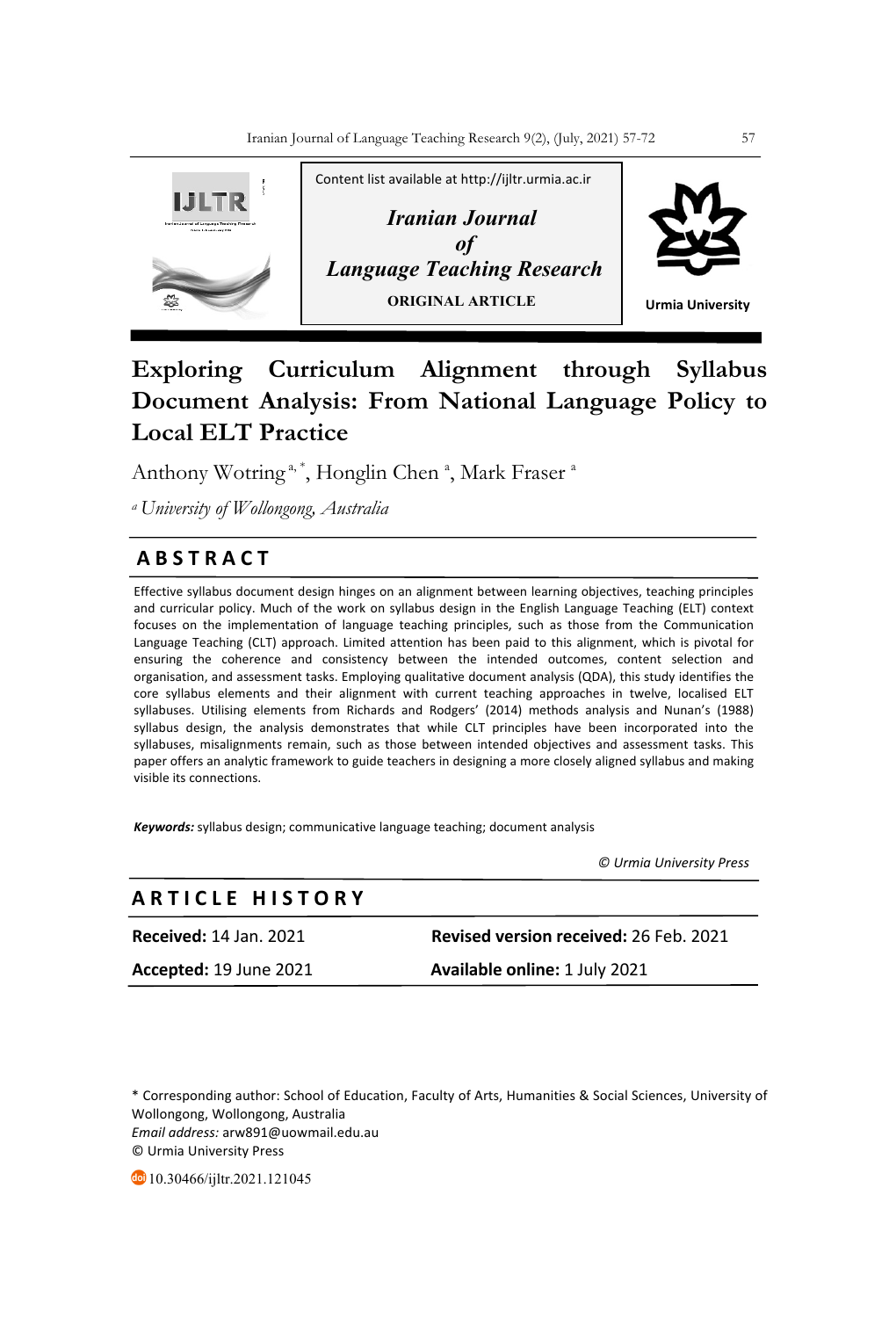

# **Exploring Curriculum Alignment through Syllabus Document Analysis: From National Language Policy to Local ELT Practice**

Anthony Wotring<sup>a,\*</sup>, Honglin Chen<sup>a</sup>, Mark Fraser<sup>a</sup>

*a University of Wollongong, Australia* 

# **A B S T R A C T**

Effective syllabus document design hinges on an alignment between learning objectives, teaching principles and curricular policy. Much of the work on syllabus design in the English Language Teaching (ELT) context focuses on the implementation of language teaching principles, such as those from the Communication Language Teaching (CLT) approach. Limited attention has been paid to this alignment, which is pivotal for ensuring the coherence and consistency between the intended outcomes, content selection and organisation, and assessment tasks. Employing qualitative document analysis (QDA), this study identifies the core syllabus elements and their alignment with current teaching approaches in twelve, localised ELT syllabuses. Utilising elements from Richards and Rodgers' (2014) methods analysis and Nunan's (1988) syllabus design, the analysis demonstrates that while CLT principles have been incorporated into the syllabuses, misalignments remain, such as those between intended objectives and assessment tasks. This paper offers an analytic framework to guide teachers in designing a more closely aligned syllabus and making visible its connections.

*Keywords:* syllabus design; communicative language teaching; document analysis

 *© Urmia University Press*

| <b>ARTICLE HISTORY</b>        |                                               |
|-------------------------------|-----------------------------------------------|
| <b>Received: 14 Jan. 2021</b> | <b>Revised version received: 26 Feb. 2021</b> |
| Accepted: 19 June 2021        | Available online: 1 July 2021                 |

\* Corresponding author: School of Education, Faculty of Arts, Humanities & Social Sciences, University of Wollongong, Wollongong, Australia *Email address:* arw891@uowmail.edu.au © Urmia University Press

**10.30466/ijltr.2021.121045**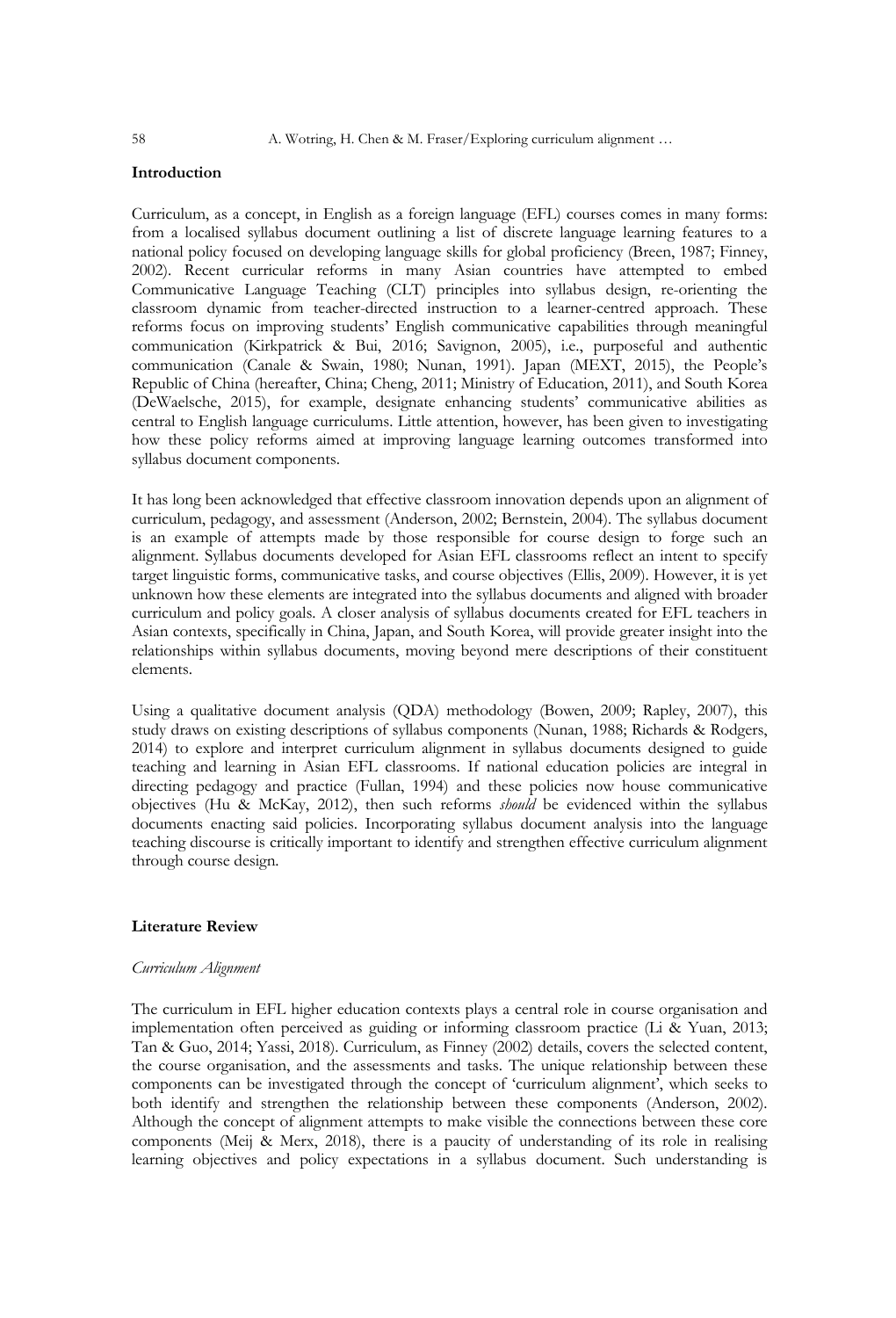# **Introduction**

Curriculum, as a concept, in English as a foreign language (EFL) courses comes in many forms: from a localised syllabus document outlining a list of discrete language learning features to a national policy focused on developing language skills for global proficiency (Breen, 1987; Finney, 2002). Recent curricular reforms in many Asian countries have attempted to embed Communicative Language Teaching (CLT) principles into syllabus design, re-orienting the classroom dynamic from teacher-directed instruction to a learner-centred approach. These reforms focus on improving students' English communicative capabilities through meaningful communication (Kirkpatrick & Bui, 2016; Savignon, 2005), i.e., purposeful and authentic communication (Canale & Swain, 1980; Nunan, 1991). Japan (MEXT, 2015), the People's Republic of China (hereafter, China; Cheng, 2011; Ministry of Education, 2011), and South Korea (DeWaelsche, 2015), for example, designate enhancing students' communicative abilities as central to English language curriculums. Little attention, however, has been given to investigating how these policy reforms aimed at improving language learning outcomes transformed into syllabus document components.

It has long been acknowledged that effective classroom innovation depends upon an alignment of curriculum, pedagogy, and assessment (Anderson, 2002; Bernstein, 2004). The syllabus document is an example of attempts made by those responsible for course design to forge such an alignment. Syllabus documents developed for Asian EFL classrooms reflect an intent to specify target linguistic forms, communicative tasks, and course objectives (Ellis, 2009). However, it is yet unknown how these elements are integrated into the syllabus documents and aligned with broader curriculum and policy goals. A closer analysis of syllabus documents created for EFL teachers in Asian contexts, specifically in China, Japan, and South Korea, will provide greater insight into the relationships within syllabus documents, moving beyond mere descriptions of their constituent elements.

Using a qualitative document analysis (QDA) methodology (Bowen, 2009; Rapley, 2007), this study draws on existing descriptions of syllabus components (Nunan, 1988; Richards & Rodgers, 2014) to explore and interpret curriculum alignment in syllabus documents designed to guide teaching and learning in Asian EFL classrooms. If national education policies are integral in directing pedagogy and practice (Fullan, 1994) and these policies now house communicative objectives (Hu & McKay, 2012), then such reforms *should* be evidenced within the syllabus documents enacting said policies. Incorporating syllabus document analysis into the language teaching discourse is critically important to identify and strengthen effective curriculum alignment through course design.

# **Literature Review**

## *Curriculum Alignment*

The curriculum in EFL higher education contexts plays a central role in course organisation and implementation often perceived as guiding or informing classroom practice (Li & Yuan, 2013; Tan & Guo, 2014; Yassi, 2018). Curriculum, as Finney (2002) details, covers the selected content, the course organisation, and the assessments and tasks. The unique relationship between these components can be investigated through the concept of 'curriculum alignment', which seeks to both identify and strengthen the relationship between these components (Anderson, 2002). Although the concept of alignment attempts to make visible the connections between these core components (Meij & Merx, 2018), there is a paucity of understanding of its role in realising learning objectives and policy expectations in a syllabus document. Such understanding is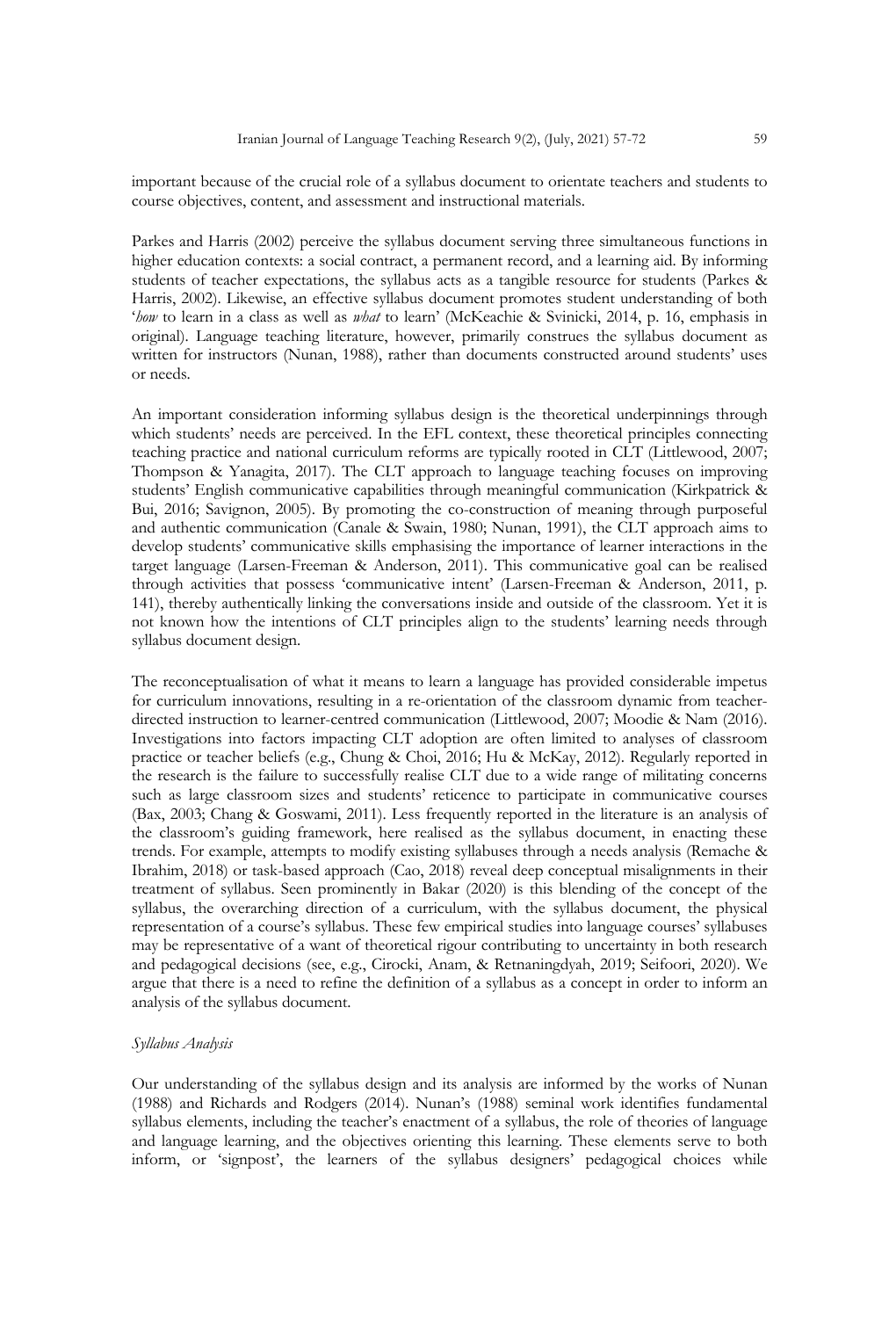important because of the crucial role of a syllabus document to orientate teachers and students to course objectives, content, and assessment and instructional materials.

Parkes and Harris (2002) perceive the syllabus document serving three simultaneous functions in higher education contexts: a social contract, a permanent record, and a learning aid. By informing students of teacher expectations, the syllabus acts as a tangible resource for students (Parkes & Harris, 2002). Likewise, an effective syllabus document promotes student understanding of both '*how* to learn in a class as well as *what* to learn' (McKeachie & Svinicki, 2014, p. 16, emphasis in original). Language teaching literature, however, primarily construes the syllabus document as written for instructors (Nunan, 1988), rather than documents constructed around students' uses or needs.

An important consideration informing syllabus design is the theoretical underpinnings through which students' needs are perceived. In the EFL context, these theoretical principles connecting teaching practice and national curriculum reforms are typically rooted in CLT (Littlewood, 2007; Thompson & Yanagita, 2017). The CLT approach to language teaching focuses on improving students' English communicative capabilities through meaningful communication (Kirkpatrick & Bui, 2016; Savignon, 2005). By promoting the co-construction of meaning through purposeful and authentic communication (Canale & Swain, 1980; Nunan, 1991), the CLT approach aims to develop students' communicative skills emphasising the importance of learner interactions in the target language (Larsen-Freeman & Anderson, 2011). This communicative goal can be realised through activities that possess 'communicative intent' (Larsen-Freeman & Anderson, 2011, p. 141), thereby authentically linking the conversations inside and outside of the classroom. Yet it is not known how the intentions of CLT principles align to the students' learning needs through syllabus document design.

The reconceptualisation of what it means to learn a language has provided considerable impetus for curriculum innovations, resulting in a re-orientation of the classroom dynamic from teacherdirected instruction to learner-centred communication (Littlewood, 2007; Moodie & Nam (2016). Investigations into factors impacting CLT adoption are often limited to analyses of classroom practice or teacher beliefs (e.g., Chung & Choi, 2016; Hu & McKay, 2012). Regularly reported in the research is the failure to successfully realise CLT due to a wide range of militating concerns such as large classroom sizes and students' reticence to participate in communicative courses (Bax, 2003; Chang & Goswami, 2011). Less frequently reported in the literature is an analysis of the classroom's guiding framework, here realised as the syllabus document, in enacting these trends. For example, attempts to modify existing syllabuses through a needs analysis (Remache & Ibrahim, 2018) or task-based approach (Cao, 2018) reveal deep conceptual misalignments in their treatment of syllabus. Seen prominently in Bakar (2020) is this blending of the concept of the syllabus, the overarching direction of a curriculum, with the syllabus document, the physical representation of a course's syllabus. These few empirical studies into language courses' syllabuses may be representative of a want of theoretical rigour contributing to uncertainty in both research and pedagogical decisions (see, e.g., Cirocki, Anam, & Retnaningdyah, 2019; Seifoori, 2020). We argue that there is a need to refine the definition of a syllabus as a concept in order to inform an analysis of the syllabus document.

#### *Syllabus Analysis*

Our understanding of the syllabus design and its analysis are informed by the works of Nunan (1988) and Richards and Rodgers (2014). Nunan's (1988) seminal work identifies fundamental syllabus elements, including the teacher's enactment of a syllabus, the role of theories of language and language learning, and the objectives orienting this learning. These elements serve to both inform, or 'signpost', the learners of the syllabus designers' pedagogical choices while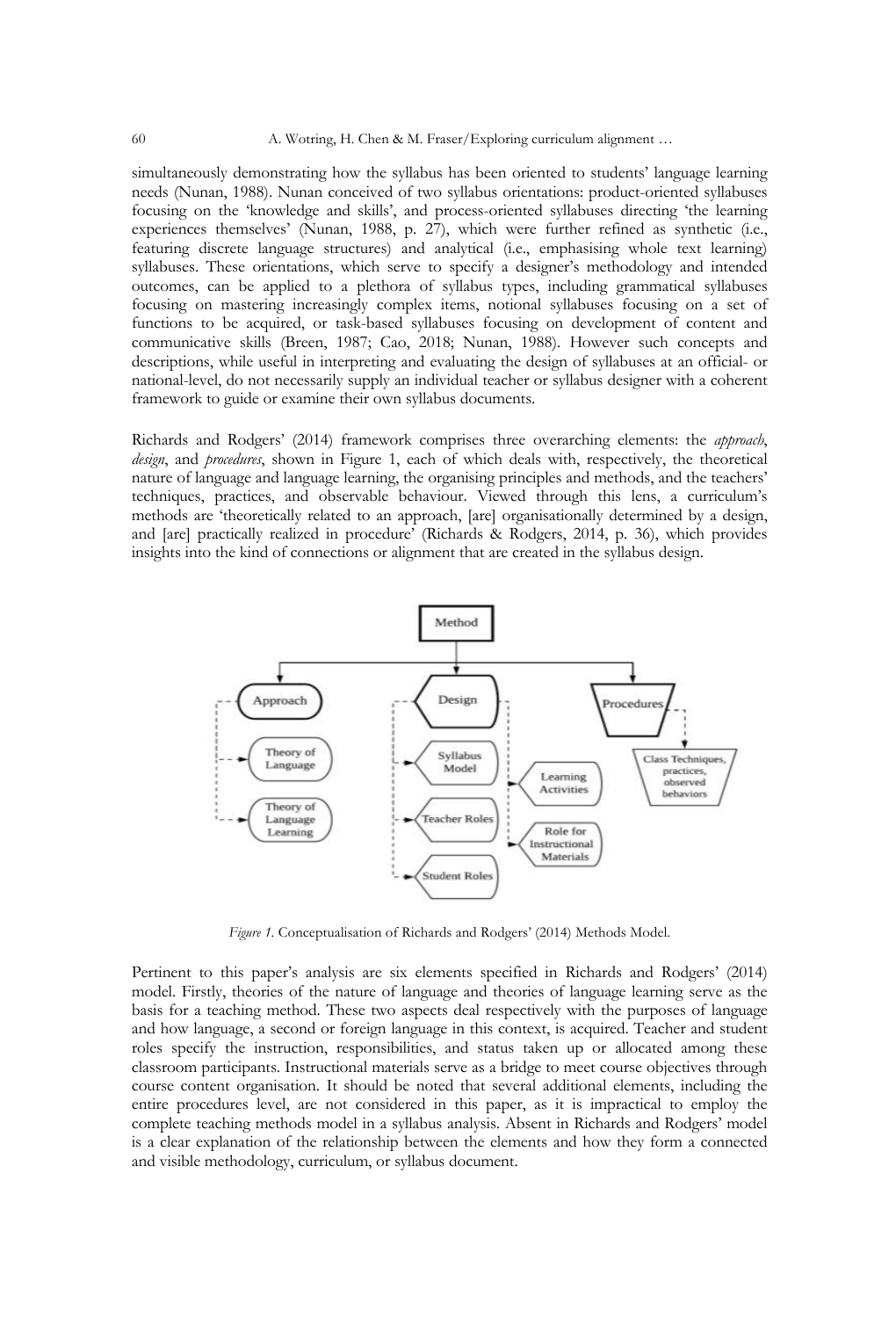simultaneously demonstrating how the syllabus has been oriented to students' language learning needs (Nunan, 1988). Nunan conceived of two syllabus orientations: product-oriented syllabuses focusing on the 'knowledge and skills', and process-oriented syllabuses directing 'the learning experiences themselves' (Nunan, 1988, p. 27), which were further refined as synthetic (i.e., featuring discrete language structures) and analytical (i.e., emphasising whole text learning) syllabuses. These orientations, which serve to specify a designer's methodology and intended outcomes, can be applied to a plethora of syllabus types, including grammatical syllabuses focusing on mastering increasingly complex items, notional syllabuses focusing on a set of functions to be acquired, or task-based syllabuses focusing on development of content and communicative skills (Breen, 1987; Cao, 2018; Nunan, 1988). However such concepts and descriptions, while useful in interpreting and evaluating the design of syllabuses at an official- or national-level, do not necessarily supply an individual teacher or syllabus designer with a coherent framework to guide or examine their own syllabus documents.

Richards and Rodgers' (2014) framework comprises three overarching elements: the *approach*, *design*, and *procedures*, shown in Figure 1, each of which deals with, respectively, the theoretical nature of language and language learning, the organising principles and methods, and the teachers' techniques, practices, and observable behaviour. Viewed through this lens, a curriculum's methods are 'theoretically related to an approach, [are] organisationally determined by a design, and [are] practically realized in procedure' (Richards & Rodgers, 2014, p. 36), which provides insights into the kind of connections or alignment that are created in the syllabus design.



*Figure 1.* Conceptualisation of Richards and Rodgers' (2014) Methods Model.

Pertinent to this paper's analysis are six elements specified in Richards and Rodgers' (2014) model. Firstly, theories of the nature of language and theories of language learning serve as the basis for a teaching method. These two aspects deal respectively with the purposes of language and how language, a second or foreign language in this context, is acquired. Teacher and student roles specify the instruction, responsibilities, and status taken up or allocated among these classroom participants. Instructional materials serve as a bridge to meet course objectives through course content organisation. It should be noted that several additional elements, including the entire procedures level, are not considered in this paper, as it is impractical to employ the complete teaching methods model in a syllabus analysis. Absent in Richards and Rodgers' model is a clear explanation of the relationship between the elements and how they form a connected and visible methodology, curriculum, or syllabus document.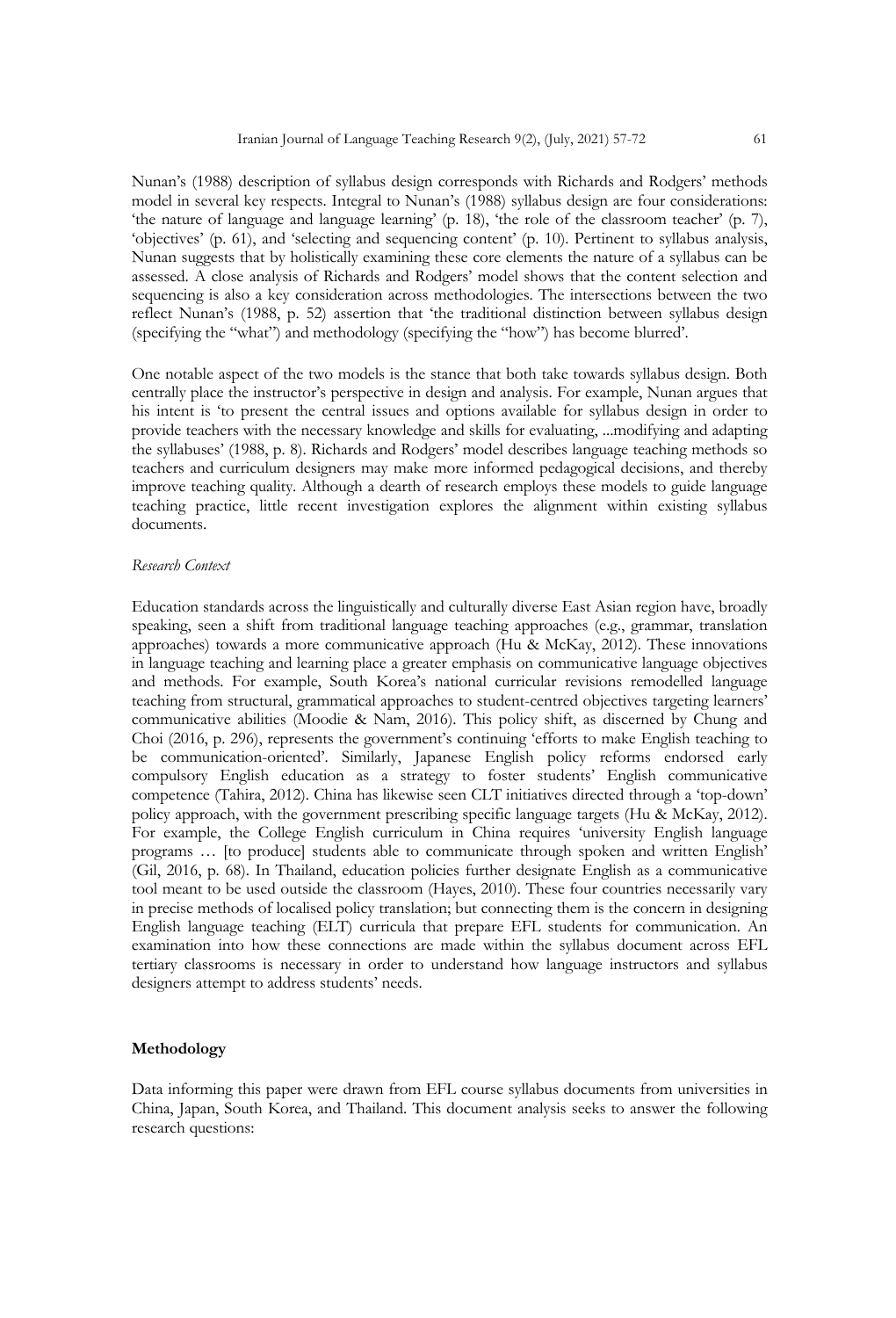Nunan's (1988) description of syllabus design corresponds with Richards and Rodgers' methods model in several key respects. Integral to Nunan's (1988) syllabus design are four considerations: 'the nature of language and language learning' (p. 18), 'the role of the classroom teacher' (p. 7), 'objectives' (p. 61), and 'selecting and sequencing content' (p. 10). Pertinent to syllabus analysis, Nunan suggests that by holistically examining these core elements the nature of a syllabus can be assessed. A close analysis of Richards and Rodgers' model shows that the content selection and sequencing is also a key consideration across methodologies. The intersections between the two reflect Nunan's (1988, p. 52) assertion that 'the traditional distinction between syllabus design (specifying the "what") and methodology (specifying the "how") has become blurred'.

One notable aspect of the two models is the stance that both take towards syllabus design. Both centrally place the instructor's perspective in design and analysis. For example, Nunan argues that his intent is 'to present the central issues and options available for syllabus design in order to provide teachers with the necessary knowledge and skills for evaluating, ...modifying and adapting the syllabuses' (1988, p. 8). Richards and Rodgers' model describes language teaching methods so teachers and curriculum designers may make more informed pedagogical decisions, and thereby improve teaching quality. Although a dearth of research employs these models to guide language teaching practice, little recent investigation explores the alignment within existing syllabus documents.

## *Research Context*

Education standards across the linguistically and culturally diverse East Asian region have, broadly speaking, seen a shift from traditional language teaching approaches (e.g., grammar, translation approaches) towards a more communicative approach (Hu & McKay, 2012). These innovations in language teaching and learning place a greater emphasis on communicative language objectives and methods. For example, South Korea's national curricular revisions remodelled language teaching from structural, grammatical approaches to student-centred objectives targeting learners' communicative abilities (Moodie & Nam, 2016). This policy shift, as discerned by Chung and Choi (2016, p. 296), represents the government's continuing 'efforts to make English teaching to be communication-oriented'. Similarly, Japanese English policy reforms endorsed early compulsory English education as a strategy to foster students' English communicative competence (Tahira, 2012). China has likewise seen CLT initiatives directed through a 'top-down' policy approach, with the government prescribing specific language targets (Hu & McKay, 2012). For example, the College English curriculum in China requires 'university English language programs … [to produce] students able to communicate through spoken and written English' (Gil, 2016, p. 68). In Thailand, education policies further designate English as a communicative tool meant to be used outside the classroom (Hayes, 2010). These four countries necessarily vary in precise methods of localised policy translation; but connecting them is the concern in designing English language teaching (ELT) curricula that prepare EFL students for communication. An examination into how these connections are made within the syllabus document across EFL tertiary classrooms is necessary in order to understand how language instructors and syllabus designers attempt to address students' needs.

#### **Methodology**

Data informing this paper were drawn from EFL course syllabus documents from universities in China, Japan, South Korea, and Thailand. This document analysis seeks to answer the following research questions: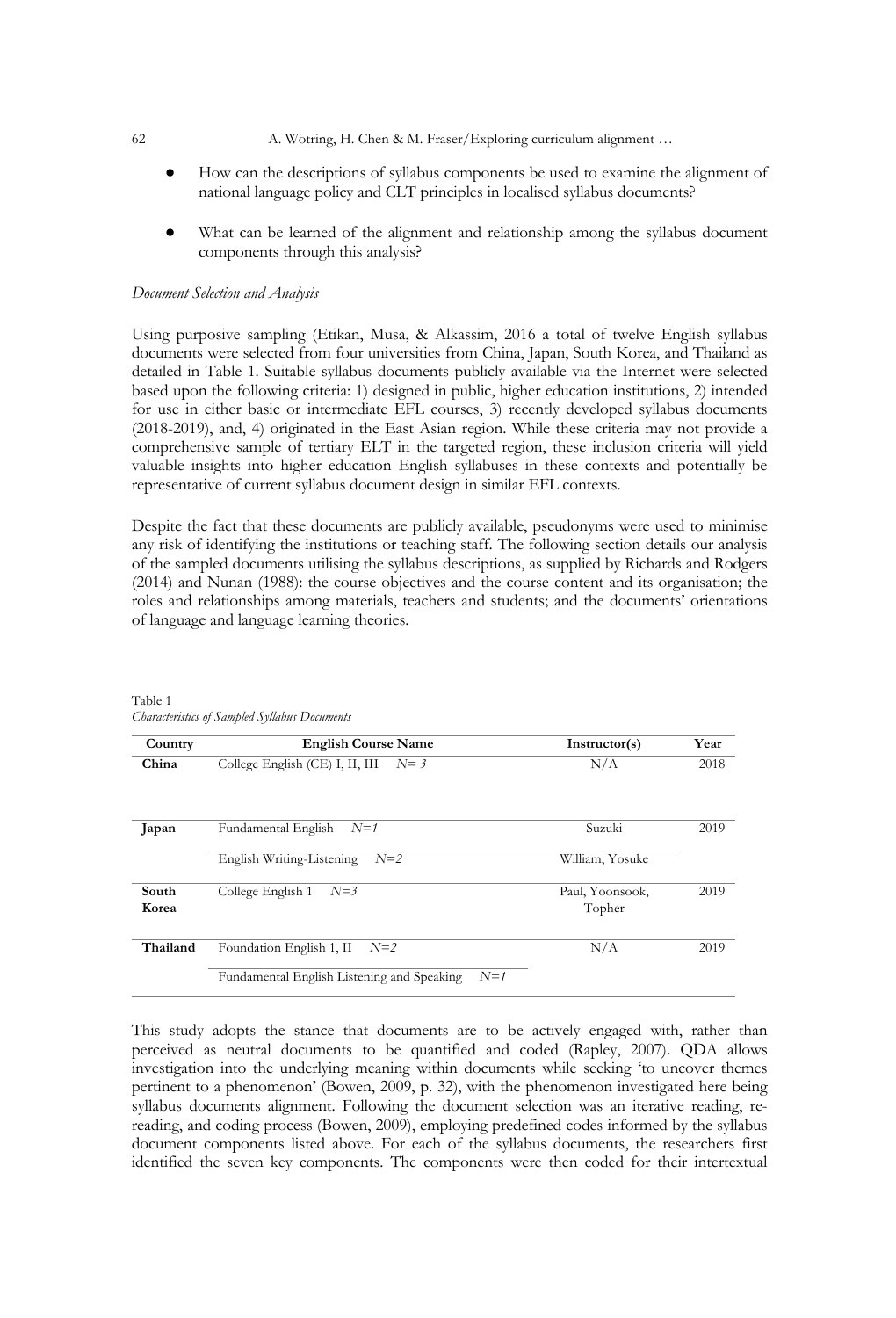- 62 A. Wotring, H. Chen & M. Fraser/Exploring curriculum alignment …
	- How can the descriptions of syllabus components be used to examine the alignment of national language policy and CLT principles in localised syllabus documents?
	- What can be learned of the alignment and relationship among the syllabus document components through this analysis?

#### *Document Selection and Analysis*

Using purposive sampling (Etikan, Musa, & Alkassim, 2016 a total of twelve English syllabus documents were selected from four universities from China, Japan, South Korea, and Thailand as detailed in Table 1. Suitable syllabus documents publicly available via the Internet were selected based upon the following criteria: 1) designed in public, higher education institutions, 2) intended for use in either basic or intermediate EFL courses, 3) recently developed syllabus documents (2018-2019), and, 4) originated in the East Asian region. While these criteria may not provide a comprehensive sample of tertiary ELT in the targeted region, these inclusion criteria will yield valuable insights into higher education English syllabuses in these contexts and potentially be representative of current syllabus document design in similar EFL contexts.

Despite the fact that these documents are publicly available, pseudonyms were used to minimise any risk of identifying the institutions or teaching staff. The following section details our analysis of the sampled documents utilising the syllabus descriptions, as supplied by Richards and Rodgers (2014) and Nunan (1988): the course objectives and the course content and its organisation; the roles and relationships among materials, teachers and students; and the documents' orientations of language and language learning theories.

| Country        | <b>English Course Name</b>                          | Instructor(s)             | Year |
|----------------|-----------------------------------------------------|---------------------------|------|
| China          | College English (CE) I, II, III<br>$N=3$            | N/A                       | 2018 |
| Japan          | Fundamental English<br>$N=1$                        | Suzuki                    | 2019 |
|                | English Writing-Listening<br>$N=2$                  | William, Yosuke           |      |
| South<br>Korea | College English 1<br>$N=3$                          | Paul, Yoonsook,<br>Topher | 2019 |
| Thailand       | Foundation English 1, II<br>$N=2$                   | N/A                       | 2019 |
|                | $N=1$<br>Fundamental English Listening and Speaking |                           |      |

Table 1 *Characteristics of Sampled Syllabus Documents*

This study adopts the stance that documents are to be actively engaged with, rather than perceived as neutral documents to be quantified and coded (Rapley, 2007). QDA allows investigation into the underlying meaning within documents while seeking 'to uncover themes pertinent to a phenomenon' (Bowen, 2009, p. 32), with the phenomenon investigated here being syllabus documents alignment. Following the document selection was an iterative reading, rereading, and coding process (Bowen, 2009), employing predefined codes informed by the syllabus document components listed above. For each of the syllabus documents, the researchers first identified the seven key components. The components were then coded for their intertextual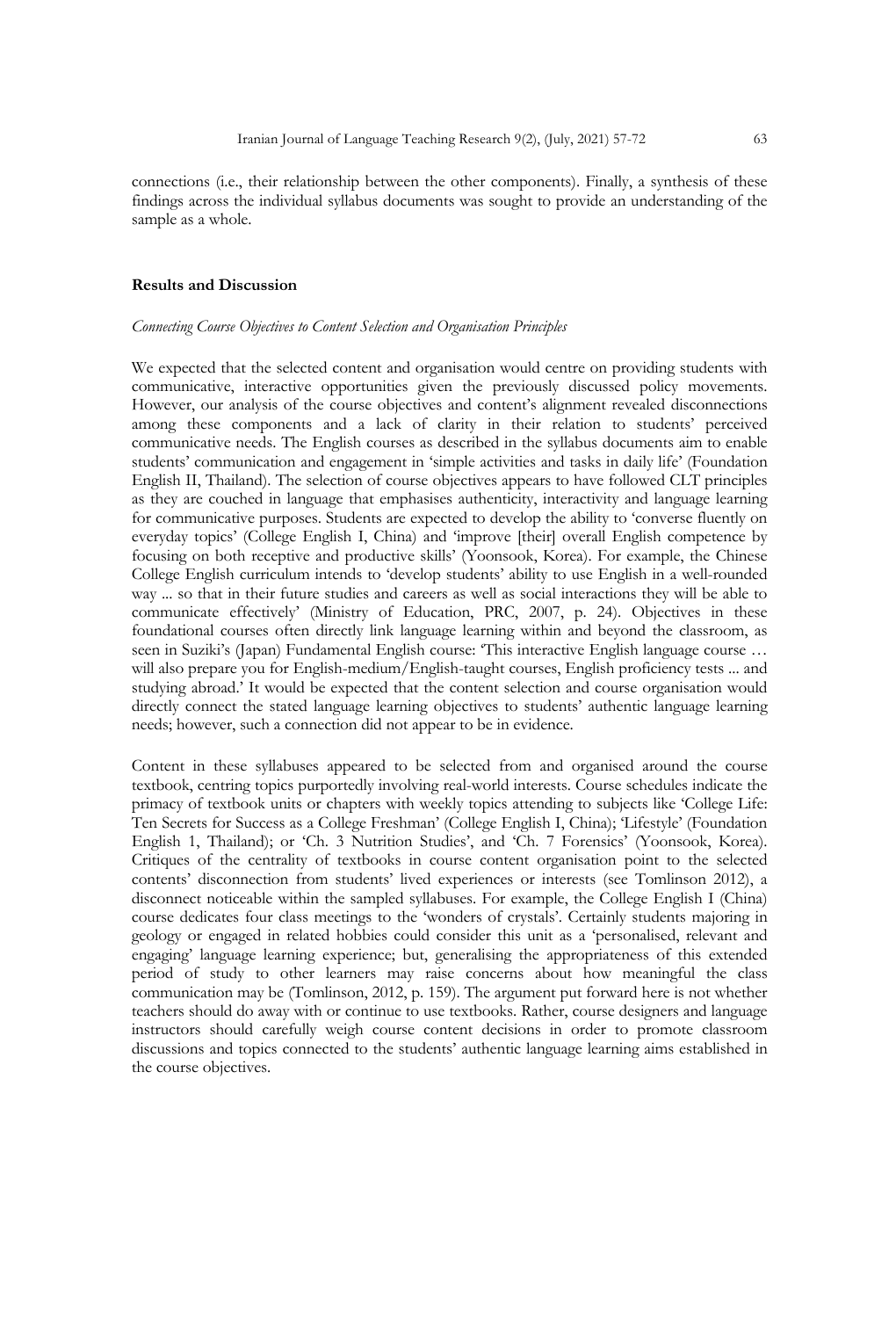connections (i.e., their relationship between the other components). Finally, a synthesis of these findings across the individual syllabus documents was sought to provide an understanding of the sample as a whole.

#### **Results and Discussion**

#### *Connecting Course Objectives to Content Selection and Organisation Principles*

We expected that the selected content and organisation would centre on providing students with communicative, interactive opportunities given the previously discussed policy movements. However, our analysis of the course objectives and content's alignment revealed disconnections among these components and a lack of clarity in their relation to students' perceived communicative needs. The English courses as described in the syllabus documents aim to enable students' communication and engagement in 'simple activities and tasks in daily life' (Foundation English II, Thailand). The selection of course objectives appears to have followed CLT principles as they are couched in language that emphasises authenticity, interactivity and language learning for communicative purposes. Students are expected to develop the ability to 'converse fluently on everyday topics' (College English I, China) and 'improve [their] overall English competence by focusing on both receptive and productive skills' (Yoonsook, Korea). For example, the Chinese College English curriculum intends to 'develop students' ability to use English in a well-rounded way ... so that in their future studies and careers as well as social interactions they will be able to communicate effectively' (Ministry of Education, PRC, 2007, p. 24). Objectives in these foundational courses often directly link language learning within and beyond the classroom, as seen in Suziki's (Japan) Fundamental English course: 'This interactive English language course ... will also prepare you for English-medium/English-taught courses, English proficiency tests ... and studying abroad.' It would be expected that the content selection and course organisation would directly connect the stated language learning objectives to students' authentic language learning needs; however, such a connection did not appear to be in evidence.

Content in these syllabuses appeared to be selected from and organised around the course textbook, centring topics purportedly involving real-world interests. Course schedules indicate the primacy of textbook units or chapters with weekly topics attending to subjects like 'College Life: Ten Secrets for Success as a College Freshman' (College English I, China); 'Lifestyle' (Foundation English 1, Thailand); or 'Ch. 3 Nutrition Studies', and 'Ch. 7 Forensics' (Yoonsook, Korea). Critiques of the centrality of textbooks in course content organisation point to the selected contents' disconnection from students' lived experiences or interests (see Tomlinson 2012), a disconnect noticeable within the sampled syllabuses. For example, the College English I (China) course dedicates four class meetings to the 'wonders of crystals'. Certainly students majoring in geology or engaged in related hobbies could consider this unit as a 'personalised, relevant and engaging' language learning experience; but, generalising the appropriateness of this extended period of study to other learners may raise concerns about how meaningful the class communication may be (Tomlinson, 2012, p. 159). The argument put forward here is not whether teachers should do away with or continue to use textbooks. Rather, course designers and language instructors should carefully weigh course content decisions in order to promote classroom discussions and topics connected to the students' authentic language learning aims established in the course objectives.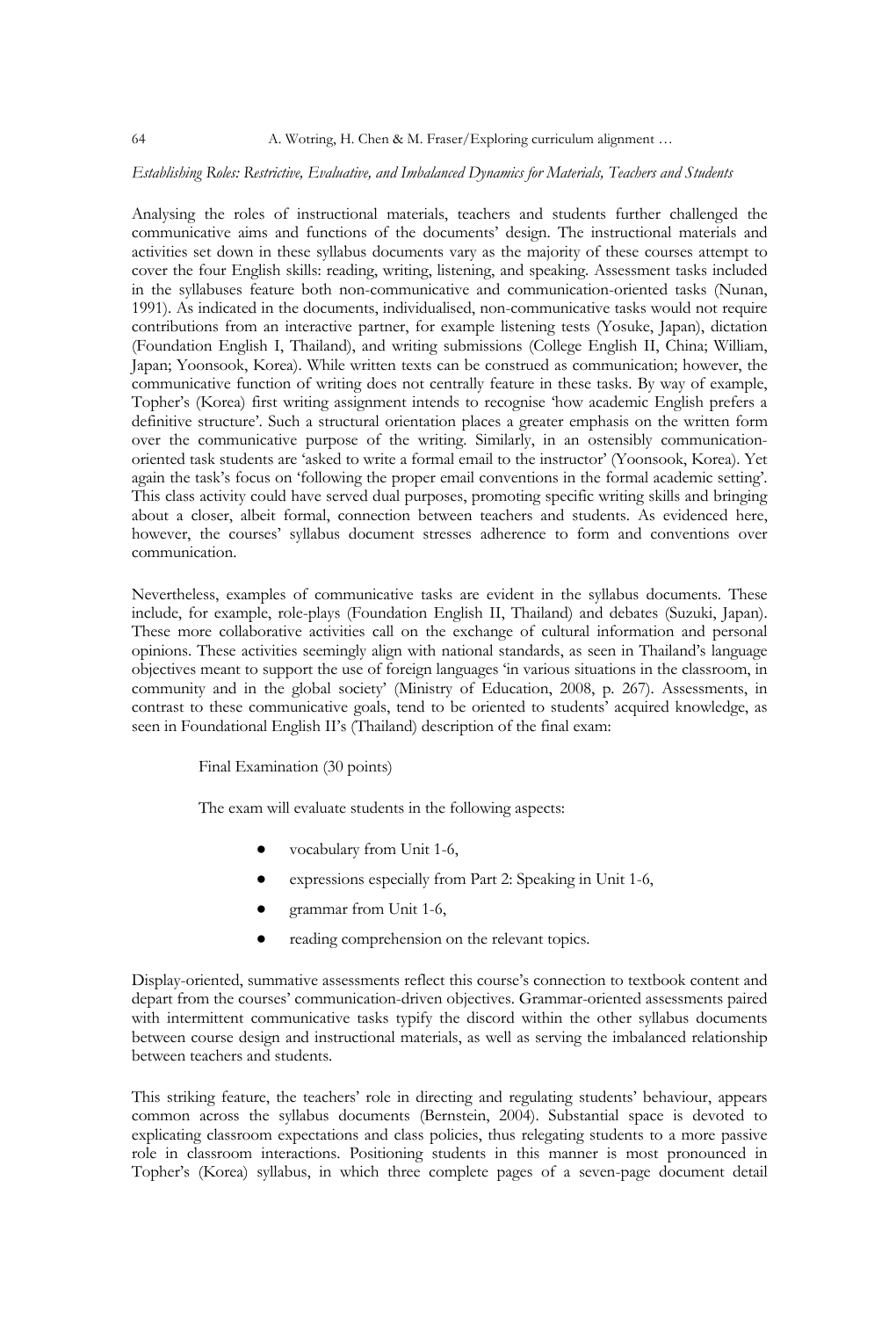# *Establishing Roles: Restrictive, Evaluative, and Imbalanced Dynamics for Materials, Teachers and Students*

Analysing the roles of instructional materials, teachers and students further challenged the communicative aims and functions of the documents' design. The instructional materials and activities set down in these syllabus documents vary as the majority of these courses attempt to cover the four English skills: reading, writing, listening, and speaking. Assessment tasks included in the syllabuses feature both non-communicative and communication-oriented tasks (Nunan, 1991). As indicated in the documents, individualised, non-communicative tasks would not require contributions from an interactive partner, for example listening tests (Yosuke, Japan), dictation (Foundation English I, Thailand), and writing submissions (College English II, China; William, Japan; Yoonsook, Korea). While written texts can be construed as communication; however, the communicative function of writing does not centrally feature in these tasks. By way of example, Topher's (Korea) first writing assignment intends to recognise 'how academic English prefers a definitive structure'. Such a structural orientation places a greater emphasis on the written form over the communicative purpose of the writing. Similarly, in an ostensibly communicationoriented task students are 'asked to write a formal email to the instructor' (Yoonsook, Korea). Yet again the task's focus on 'following the proper email conventions in the formal academic setting'. This class activity could have served dual purposes, promoting specific writing skills and bringing about a closer, albeit formal, connection between teachers and students. As evidenced here, however, the courses' syllabus document stresses adherence to form and conventions over communication.

Nevertheless, examples of communicative tasks are evident in the syllabus documents. These include, for example, role-plays (Foundation English II, Thailand) and debates (Suzuki, Japan). These more collaborative activities call on the exchange of cultural information and personal opinions. These activities seemingly align with national standards, as seen in Thailand's language objectives meant to support the use of foreign languages 'in various situations in the classroom, in community and in the global society' (Ministry of Education, 2008, p. 267). Assessments, in contrast to these communicative goals, tend to be oriented to students' acquired knowledge, as seen in Foundational English II's (Thailand) description of the final exam:

## Final Examination (30 points)

The exam will evaluate students in the following aspects:

- vocabulary from Unit 1-6,
- expressions especially from Part 2: Speaking in Unit 1-6,
- grammar from Unit 1-6,
- reading comprehension on the relevant topics.

Display-oriented, summative assessments reflect this course's connection to textbook content and depart from the courses' communication-driven objectives. Grammar-oriented assessments paired with intermittent communicative tasks typify the discord within the other syllabus documents between course design and instructional materials, as well as serving the imbalanced relationship between teachers and students.

This striking feature, the teachers' role in directing and regulating students' behaviour, appears common across the syllabus documents (Bernstein, 2004). Substantial space is devoted to explicating classroom expectations and class policies, thus relegating students to a more passive role in classroom interactions. Positioning students in this manner is most pronounced in Topher's (Korea) syllabus, in which three complete pages of a seven-page document detail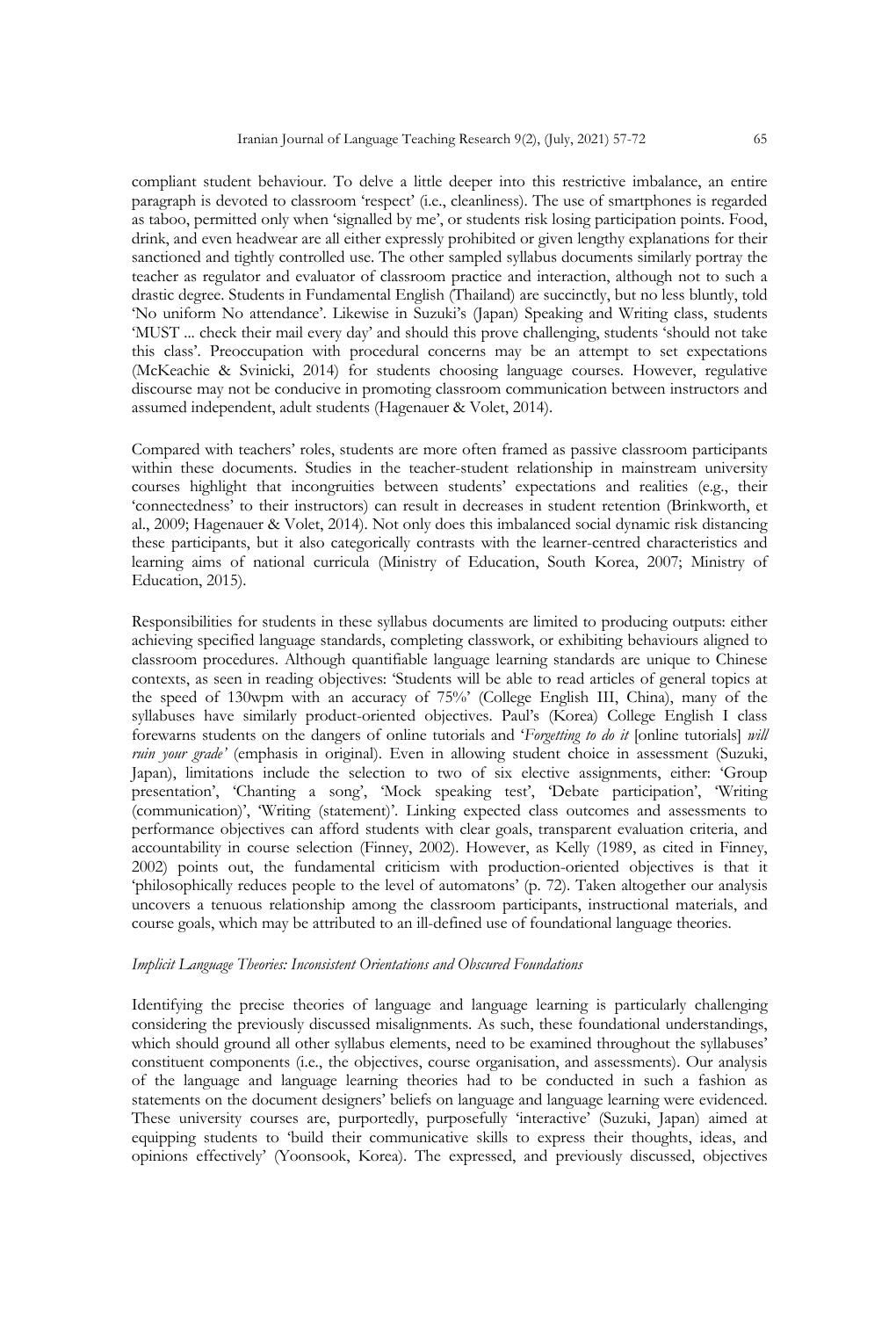compliant student behaviour. To delve a little deeper into this restrictive imbalance, an entire paragraph is devoted to classroom 'respect' (i.e., cleanliness). The use of smartphones is regarded as taboo, permitted only when 'signalled by me', or students risk losing participation points. Food, drink, and even headwear are all either expressly prohibited or given lengthy explanations for their sanctioned and tightly controlled use. The other sampled syllabus documents similarly portray the teacher as regulator and evaluator of classroom practice and interaction, although not to such a drastic degree. Students in Fundamental English (Thailand) are succinctly, but no less bluntly, told 'No uniform No attendance'. Likewise in Suzuki's (Japan) Speaking and Writing class, students 'MUST ... check their mail every day' and should this prove challenging, students 'should not take this class'. Preoccupation with procedural concerns may be an attempt to set expectations (McKeachie & Svinicki, 2014) for students choosing language courses. However, regulative discourse may not be conducive in promoting classroom communication between instructors and assumed independent, adult students (Hagenauer & Volet, 2014).

Compared with teachers' roles, students are more often framed as passive classroom participants within these documents. Studies in the teacher-student relationship in mainstream university courses highlight that incongruities between students' expectations and realities (e.g., their 'connectedness' to their instructors) can result in decreases in student retention (Brinkworth, et al., 2009; Hagenauer & Volet, 2014). Not only does this imbalanced social dynamic risk distancing these participants, but it also categorically contrasts with the learner-centred characteristics and learning aims of national curricula (Ministry of Education, South Korea, 2007; Ministry of Education, 2015).

Responsibilities for students in these syllabus documents are limited to producing outputs: either achieving specified language standards, completing classwork, or exhibiting behaviours aligned to classroom procedures. Although quantifiable language learning standards are unique to Chinese contexts, as seen in reading objectives: 'Students will be able to read articles of general topics at the speed of 130wpm with an accuracy of 75%' (College English III, China), many of the syllabuses have similarly product-oriented objectives. Paul's (Korea) College English I class forewarns students on the dangers of online tutorials and '*Forgetting to do it* [online tutorials] *will ruin your grade'* (emphasis in original). Even in allowing student choice in assessment (Suzuki, Japan), limitations include the selection to two of six elective assignments, either: 'Group presentation', 'Chanting a song', 'Mock speaking test', 'Debate participation', 'Writing (communication)', 'Writing (statement)'. Linking expected class outcomes and assessments to performance objectives can afford students with clear goals, transparent evaluation criteria, and accountability in course selection (Finney, 2002). However, as Kelly (1989, as cited in Finney, 2002) points out, the fundamental criticism with production-oriented objectives is that it 'philosophically reduces people to the level of automatons' (p. 72). Taken altogether our analysis uncovers a tenuous relationship among the classroom participants, instructional materials, and course goals, which may be attributed to an ill-defined use of foundational language theories.

# *Implicit Language Theories: Inconsistent Orientations and Obscured Foundations*

Identifying the precise theories of language and language learning is particularly challenging considering the previously discussed misalignments. As such, these foundational understandings, which should ground all other syllabus elements, need to be examined throughout the syllabuses' constituent components (i.e., the objectives, course organisation, and assessments). Our analysis of the language and language learning theories had to be conducted in such a fashion as statements on the document designers' beliefs on language and language learning were evidenced. These university courses are, purportedly, purposefully 'interactive' (Suzuki, Japan) aimed at equipping students to 'build their communicative skills to express their thoughts, ideas, and opinions effectively' (Yoonsook, Korea). The expressed, and previously discussed, objectives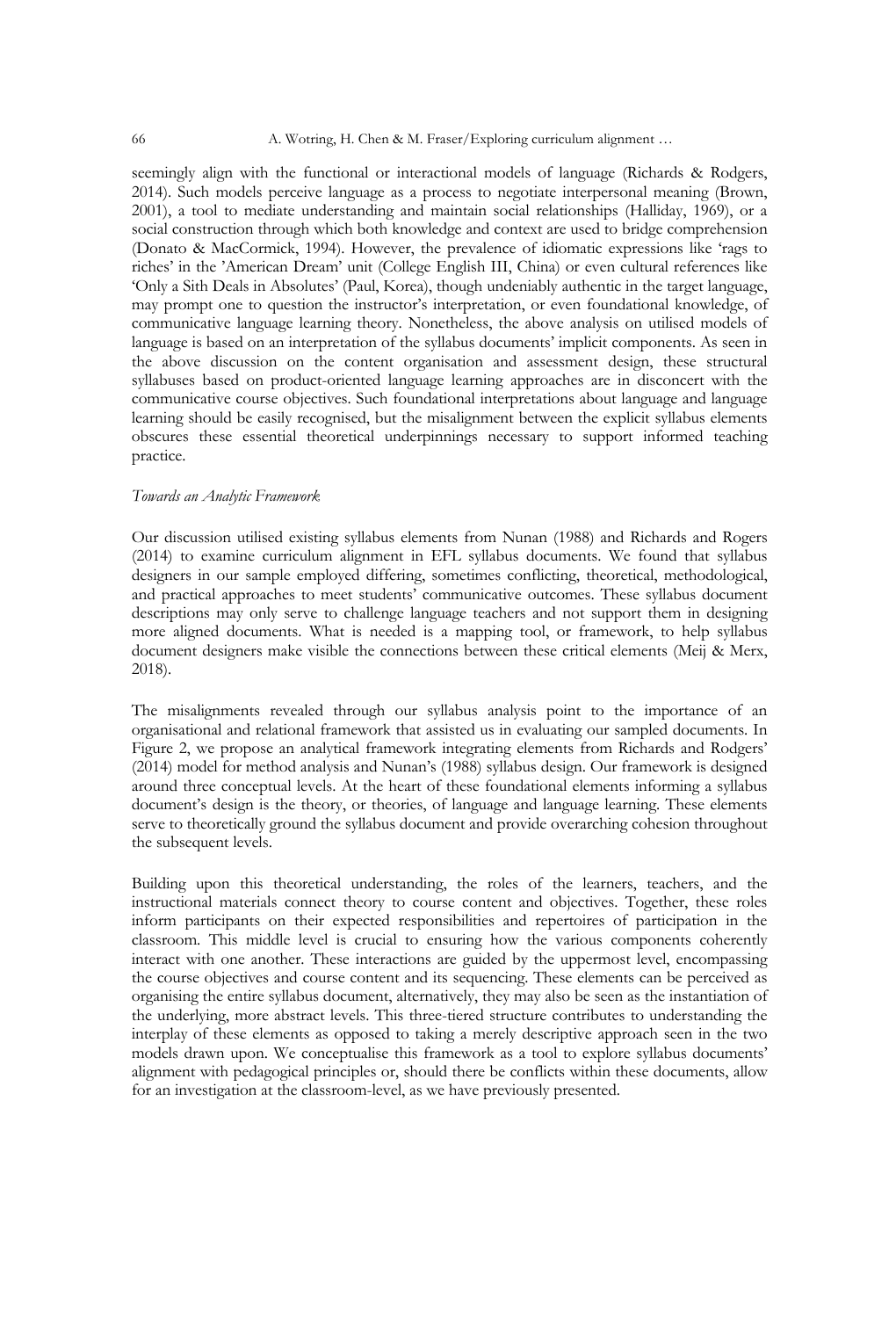seemingly align with the functional or interactional models of language (Richards & Rodgers, 2014). Such models perceive language as a process to negotiate interpersonal meaning (Brown, 2001), a tool to mediate understanding and maintain social relationships (Halliday, 1969), or a social construction through which both knowledge and context are used to bridge comprehension (Donato & MacCormick, 1994). However, the prevalence of idiomatic expressions like 'rags to riches' in the 'American Dream' unit (College English III, China) or even cultural references like 'Only a Sith Deals in Absolutes' (Paul, Korea), though undeniably authentic in the target language, may prompt one to question the instructor's interpretation, or even foundational knowledge, of communicative language learning theory. Nonetheless, the above analysis on utilised models of language is based on an interpretation of the syllabus documents' implicit components. As seen in the above discussion on the content organisation and assessment design, these structural syllabuses based on product-oriented language learning approaches are in disconcert with the communicative course objectives. Such foundational interpretations about language and language learning should be easily recognised, but the misalignment between the explicit syllabus elements obscures these essential theoretical underpinnings necessary to support informed teaching practice.

#### *Towards an Analytic Framework*

Our discussion utilised existing syllabus elements from Nunan (1988) and Richards and Rogers (2014) to examine curriculum alignment in EFL syllabus documents. We found that syllabus designers in our sample employed differing, sometimes conflicting, theoretical, methodological, and practical approaches to meet students' communicative outcomes. These syllabus document descriptions may only serve to challenge language teachers and not support them in designing more aligned documents. What is needed is a mapping tool, or framework, to help syllabus document designers make visible the connections between these critical elements (Meij & Merx, 2018).

The misalignments revealed through our syllabus analysis point to the importance of an organisational and relational framework that assisted us in evaluating our sampled documents. In Figure 2, we propose an analytical framework integrating elements from Richards and Rodgers' (2014) model for method analysis and Nunan's (1988) syllabus design. Our framework is designed around three conceptual levels. At the heart of these foundational elements informing a syllabus document's design is the theory, or theories, of language and language learning. These elements serve to theoretically ground the syllabus document and provide overarching cohesion throughout the subsequent levels.

Building upon this theoretical understanding, the roles of the learners, teachers, and the instructional materials connect theory to course content and objectives. Together, these roles inform participants on their expected responsibilities and repertoires of participation in the classroom. This middle level is crucial to ensuring how the various components coherently interact with one another. These interactions are guided by the uppermost level, encompassing the course objectives and course content and its sequencing. These elements can be perceived as organising the entire syllabus document, alternatively, they may also be seen as the instantiation of the underlying, more abstract levels. This three-tiered structure contributes to understanding the interplay of these elements as opposed to taking a merely descriptive approach seen in the two models drawn upon. We conceptualise this framework as a tool to explore syllabus documents' alignment with pedagogical principles or, should there be conflicts within these documents, allow for an investigation at the classroom-level, as we have previously presented.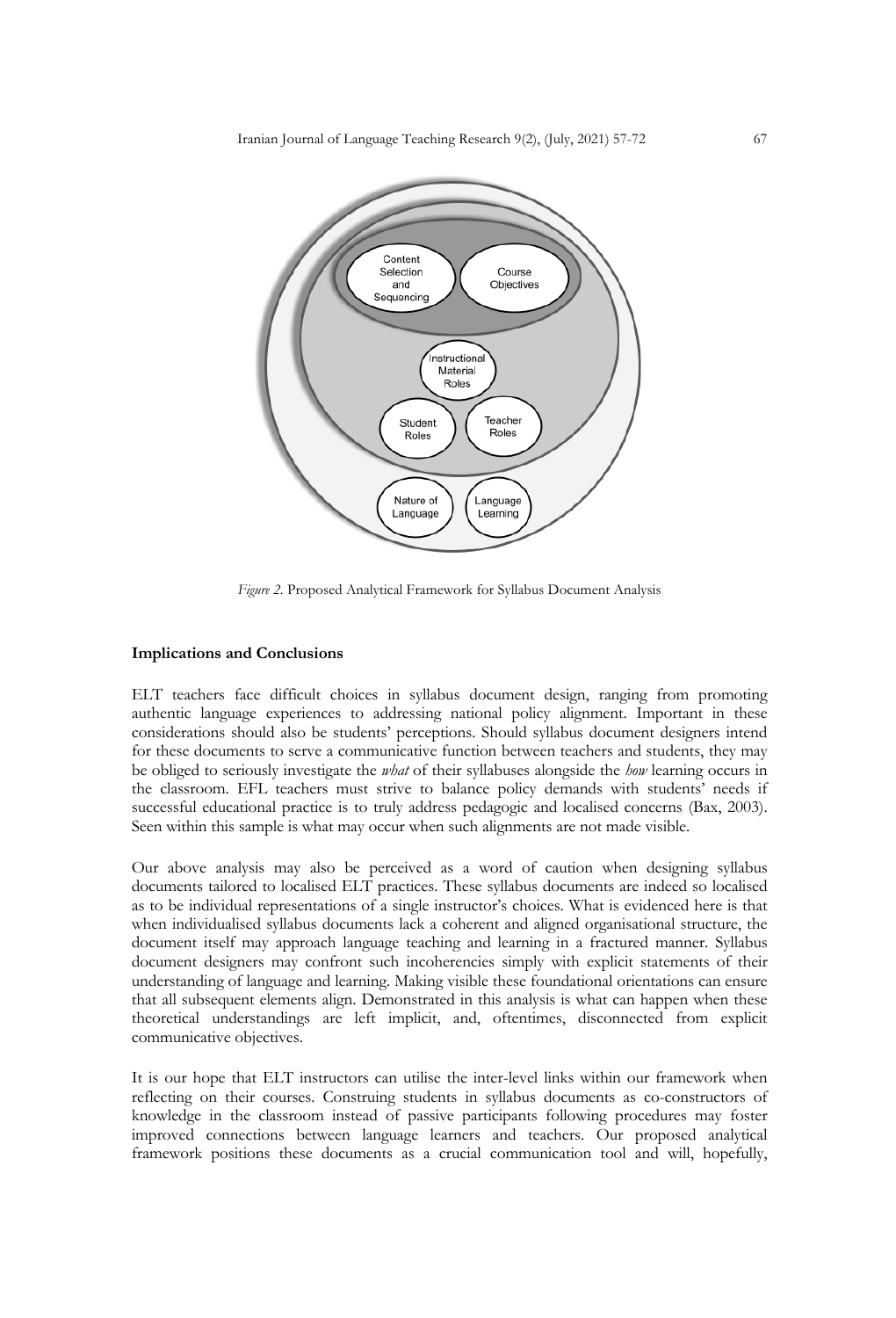

*Figure 2.* Proposed Analytical Framework for Syllabus Document Analysis

# **Implications and Conclusions**

ELT teachers face difficult choices in syllabus document design, ranging from promoting authentic language experiences to addressing national policy alignment. Important in these considerations should also be students' perceptions. Should syllabus document designers intend for these documents to serve a communicative function between teachers and students, they may be obliged to seriously investigate the *what* of their syllabuses alongside the *how* learning occurs in the classroom. EFL teachers must strive to balance policy demands with students' needs if successful educational practice is to truly address pedagogic and localised concerns (Bax, 2003). Seen within this sample is what may occur when such alignments are not made visible.

Our above analysis may also be perceived as a word of caution when designing syllabus documents tailored to localised ELT practices. These syllabus documents are indeed so localised as to be individual representations of a single instructor's choices. What is evidenced here is that when individualised syllabus documents lack a coherent and aligned organisational structure, the document itself may approach language teaching and learning in a fractured manner. Syllabus document designers may confront such incoherencies simply with explicit statements of their understanding of language and learning. Making visible these foundational orientations can ensure that all subsequent elements align. Demonstrated in this analysis is what can happen when these theoretical understandings are left implicit, and, oftentimes, disconnected from explicit communicative objectives.

It is our hope that ELT instructors can utilise the inter-level links within our framework when reflecting on their courses. Construing students in syllabus documents as co-constructors of knowledge in the classroom instead of passive participants following procedures may foster improved connections between language learners and teachers. Our proposed analytical framework positions these documents as a crucial communication tool and will, hopefully,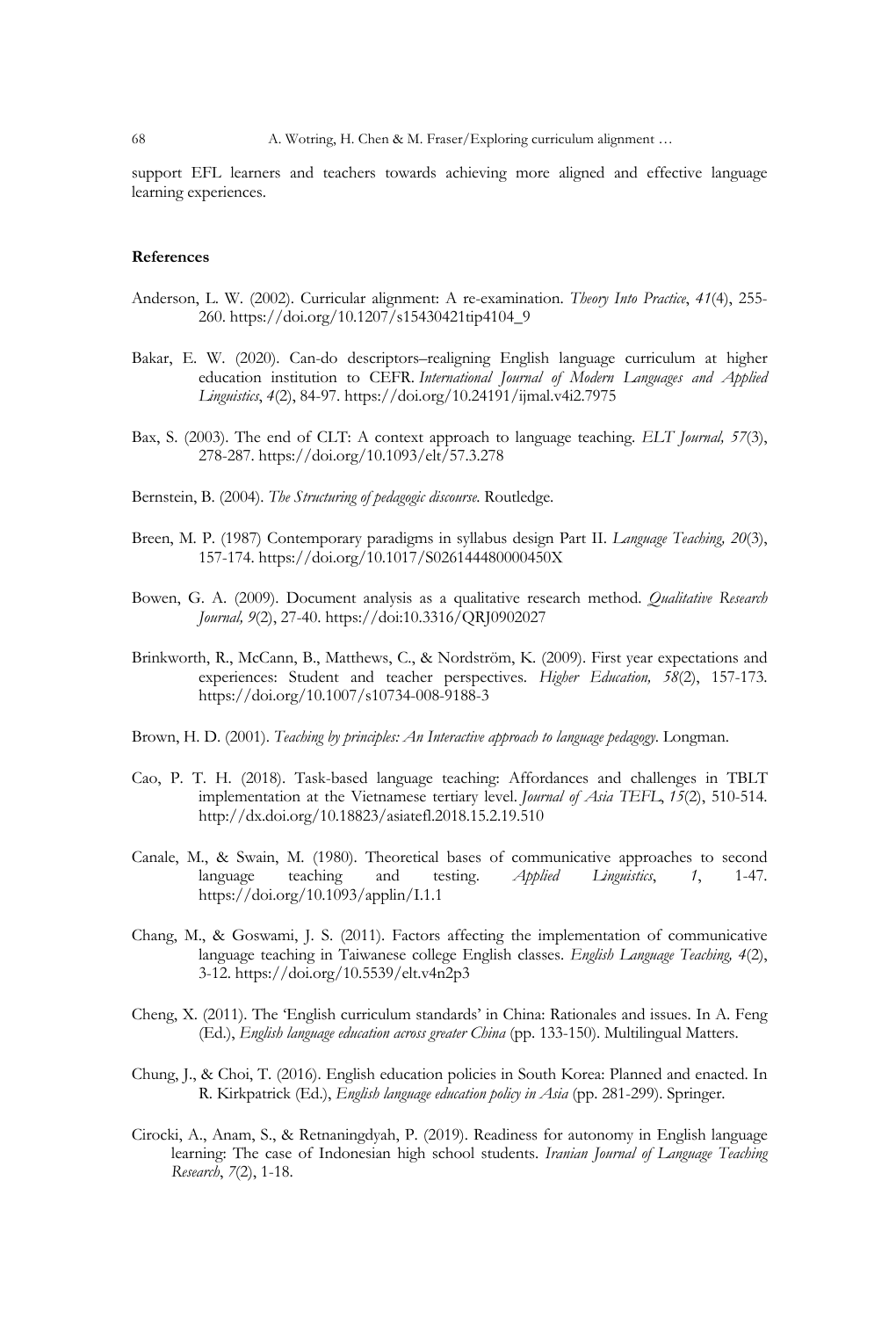support EFL learners and teachers towards achieving more aligned and effective language learning experiences.

# **References**

- Anderson, L. W. (2002). Curricular alignment: A re-examination. *Theory Into Practice*, *41*(4), 255- 260. https://doi.org/10.1207/s15430421tip4104\_9
- Bakar, E. W. (2020). Can-do descriptors–realigning English language curriculum at higher education institution to CEFR. *International Journal of Modern Languages and Applied Linguistics*, *4*(2), 84-97. https://doi.org/10.24191/ijmal.v4i2.7975
- Bax, S. (2003). The end of CLT: A context approach to language teaching. *ELT Journal, 57*(3), 278-287. https://doi.org/10.1093/elt/57.3.278
- Bernstein, B. (2004). *The Structuring of pedagogic discourse*. Routledge.
- Breen, M. P. (1987) Contemporary paradigms in syllabus design Part II. *Language Teaching, 20*(3), 157-174. https://doi.org/10.1017/S026144480000450X
- Bowen, G. A. (2009). Document analysis as a qualitative research method. *Qualitative Research Journal, 9*(2), 27-40. https://doi:10.3316/QRJ0902027
- Brinkworth, R., McCann, B., Matthews, C., & Nordström, K. (2009). First year expectations and experiences: Student and teacher perspectives. *Higher Education, 58*(2), 157-173. https://doi.org/10.1007/s10734-008-9188-3
- Brown, H. D. (2001). *Teaching by principles: An Interactive approach to language pedagogy*. Longman.
- Cao, P. T. H. (2018). Task-based language teaching: Affordances and challenges in TBLT implementation at the Vietnamese tertiary level. *Journal of Asia TEFL*, *15*(2), 510-514. http://dx.doi.org/10.18823/asiatefl.2018.15.2.19.510
- Canale, M., & Swain, M. (1980). Theoretical bases of communicative approaches to second language teaching and testing. *Applied Linguistics*, *1*, 1-47. https://doi.org/10.1093/applin/I.1.1
- Chang, M., & Goswami, J. S. (2011). Factors affecting the implementation of communicative language teaching in Taiwanese college English classes. *English Language Teaching, 4*(2), 3-12. https://doi.org/10.5539/elt.v4n2p3
- Cheng, X. (2011). The 'English curriculum standards' in China: Rationales and issues. In A. Feng (Ed.), *English language education across greater China* (pp. 133-150). Multilingual Matters.
- Chung, J., & Choi, T. (2016). English education policies in South Korea: Planned and enacted. In R. Kirkpatrick (Ed.), *English language education policy in Asia* (pp. 281-299). Springer.
- Cirocki, A., Anam, S., & Retnaningdyah, P. (2019). Readiness for autonomy in English language learning: The case of Indonesian high school students. *Iranian Journal of Language Teaching Research*, *7*(2), 1-18.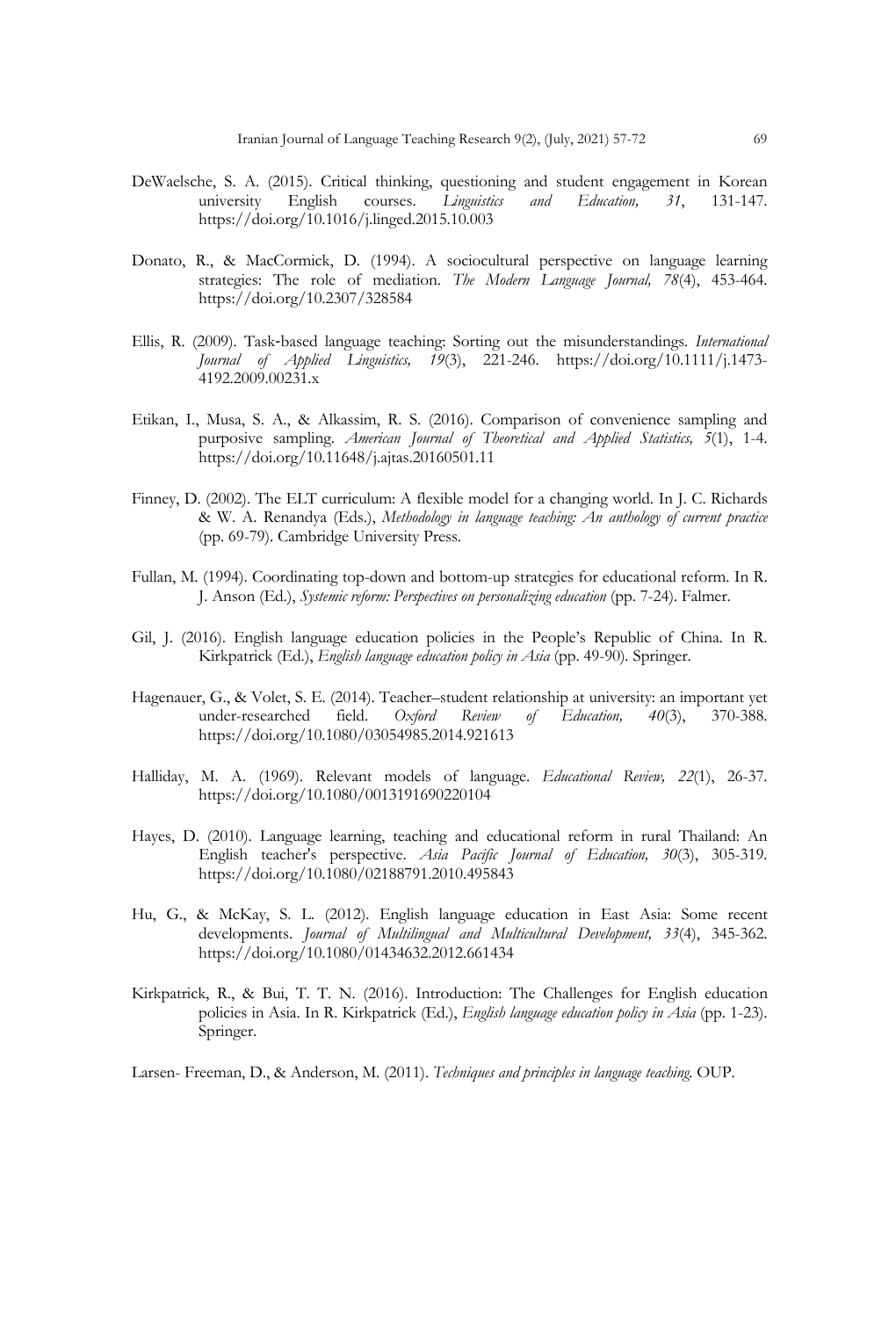- DeWaelsche, S. A. (2015). Critical thinking, questioning and student engagement in Korean university English courses. *Linguistics and Education, 31*, 131-147. https://doi.org/10.1016/j.linged.2015.10.003
- Donato, R., & MacCormick, D. (1994). A sociocultural perspective on language learning strategies: The role of mediation. *The Modern Language Journal, 78*(4), 453-464. https://doi.org/10.2307/328584
- Ellis, R. (2009). Task-based language teaching: Sorting out the misunderstandings. *International Journal of Applied Linguistics, 19*(3), 221-246. https://doi.org/10.1111/j.1473- 4192.2009.00231.x
- Etikan, I., Musa, S. A., & Alkassim, R. S. (2016). Comparison of convenience sampling and purposive sampling. *American Journal of Theoretical and Applied Statistics, 5*(1), 1-4. https://doi.org/10.11648/j.ajtas.20160501.11
- Finney, D. (2002). The ELT curriculum: A flexible model for a changing world. In J. C. Richards & W. A. Renandya (Eds.), *Methodology in language teaching: An anthology of current practice*  (pp. 69-79). Cambridge University Press.
- Fullan, M. (1994). Coordinating top-down and bottom-up strategies for educational reform. In R. J. Anson (Ed.), *Systemic reform: Perspectives on personalizing education* (pp. 7-24). Falmer.
- Gil, J. (2016). English language education policies in the People's Republic of China. In R. Kirkpatrick (Ed.), *English language education policy in Asia* (pp. 49-90)*.* Springer.
- Hagenauer, G., & Volet, S. E. (2014). Teacher–student relationship at university: an important yet under-researched field. *Oxford Review of Education, 40*(3), 370-388. https://doi.org/10.1080/03054985.2014.921613
- Halliday, M. A. (1969). Relevant models of language. *Educational Review, 22*(1), 26-37. https://doi.org/10.1080/0013191690220104
- Hayes, D. (2010). Language learning, teaching and educational reform in rural Thailand: An English teacher's perspective. *Asia Pacific Journal of Education, 30*(3), 305-319. https://doi.org/10.1080/02188791.2010.495843
- Hu, G., & McKay, S. L. (2012). English language education in East Asia: Some recent developments. *Journal of Multilingual and Multicultural Development, 33*(4), 345-362. https://doi.org/10.1080/01434632.2012.661434
- Kirkpatrick, R., & Bui, T. T. N. (2016). Introduction: The Challenges for English education policies in Asia. In R. Kirkpatrick (Ed.), *English language education policy in Asia* (pp. 1-23). Springer.

Larsen- Freeman, D., & Anderson, M. (2011). *Techniques and principles in language teaching.* OUP.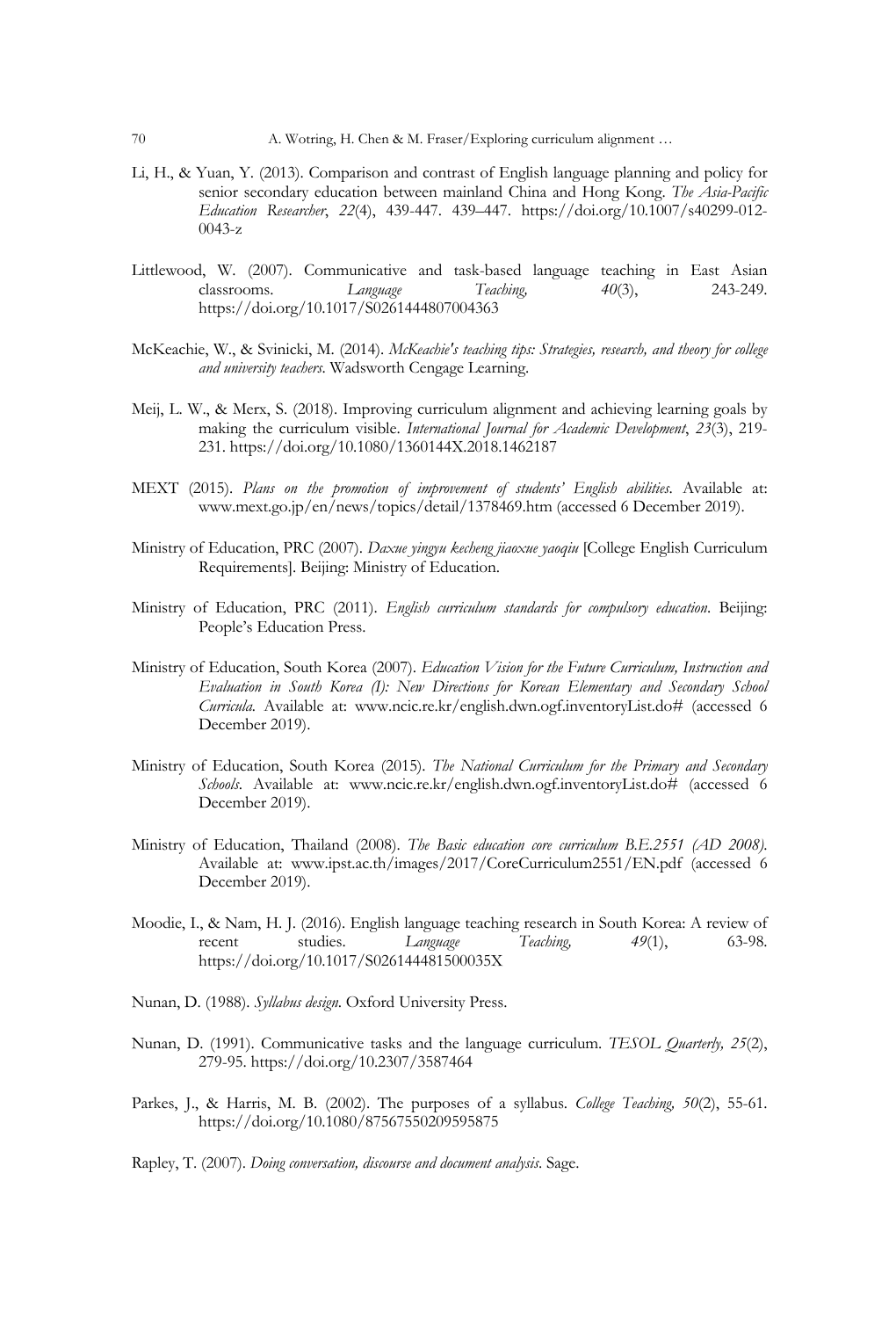- Li, H., & Yuan, Y. (2013). Comparison and contrast of English language planning and policy for senior secondary education between mainland China and Hong Kong. *The Asia-Pacific Education Researcher*, *22*(4), 439-447. 439–447. https://doi.org/10.1007/s40299-012- 0043-z
- Littlewood, W. (2007). Communicative and task-based language teaching in East Asian classrooms. *Language Teaching, 40*(3), 243-249. https://doi.org/10.1017/S0261444807004363
- McKeachie, W., & Svinicki, M. (2014). *McKeachie's teaching tips: Strategies, research, and theory for college and university teachers*. Wadsworth Cengage Learning.
- Meij, L. W., & Merx, S. (2018). Improving curriculum alignment and achieving learning goals by making the curriculum visible. *International Journal for Academic Development*, *23*(3), 219- 231. https://doi.org/10.1080/1360144X.2018.1462187
- MEXT (2015). *Plans on the promotion of improvement of students' English abilities*. Available at: www.mext.go.jp/en/news/topics/detail/1378469.htm (accessed 6 December 2019).
- Ministry of Education, PRC (2007). *Daxue yingyu kecheng jiaoxue yaoqiu* [College English Curriculum Requirements]. Beijing: Ministry of Education.
- Ministry of Education, PRC (2011). *English curriculum standards for compulsory education*. Beijing: People's Education Press.
- Ministry of Education, South Korea (2007). *Education Vision for the Future Curriculum, Instruction and Evaluation in South Korea (I): New Directions for Korean Elementary and Secondary School Curricula.* Available at: www.ncic.re.kr/english.dwn.ogf.inventoryList.do# (accessed 6 December 2019).
- Ministry of Education, South Korea (2015). *The National Curriculum for the Primary and Secondary Schools*. Available at: www.ncic.re.kr/english.dwn.ogf.inventoryList.do# (accessed 6 December 2019).
- Ministry of Education, Thailand (2008). *The Basic education core curriculum B.E.2551 (AD 2008)*. Available at: www.ipst.ac.th/images/2017/CoreCurriculum2551/EN.pdf (accessed 6 December 2019).
- Moodie, I., & Nam, H. J. (2016). English language teaching research in South Korea: A review of recent studies. *Language Teaching, 49*(1), 63-98. https://doi.org/10.1017/S026144481500035X
- Nunan, D. (1988). *Syllabus design*. Oxford University Press.
- Nunan, D. (1991). Communicative tasks and the language curriculum. *TESOL Quarterly, 25*(2), 279-95. https://doi.org/10.2307/3587464
- Parkes, J., & Harris, M. B. (2002). The purposes of a syllabus. *College Teaching, 50*(2), 55-61. https://doi.org/10.1080/87567550209595875

Rapley, T. (2007). *Doing conversation, discourse and document analysis*. Sage.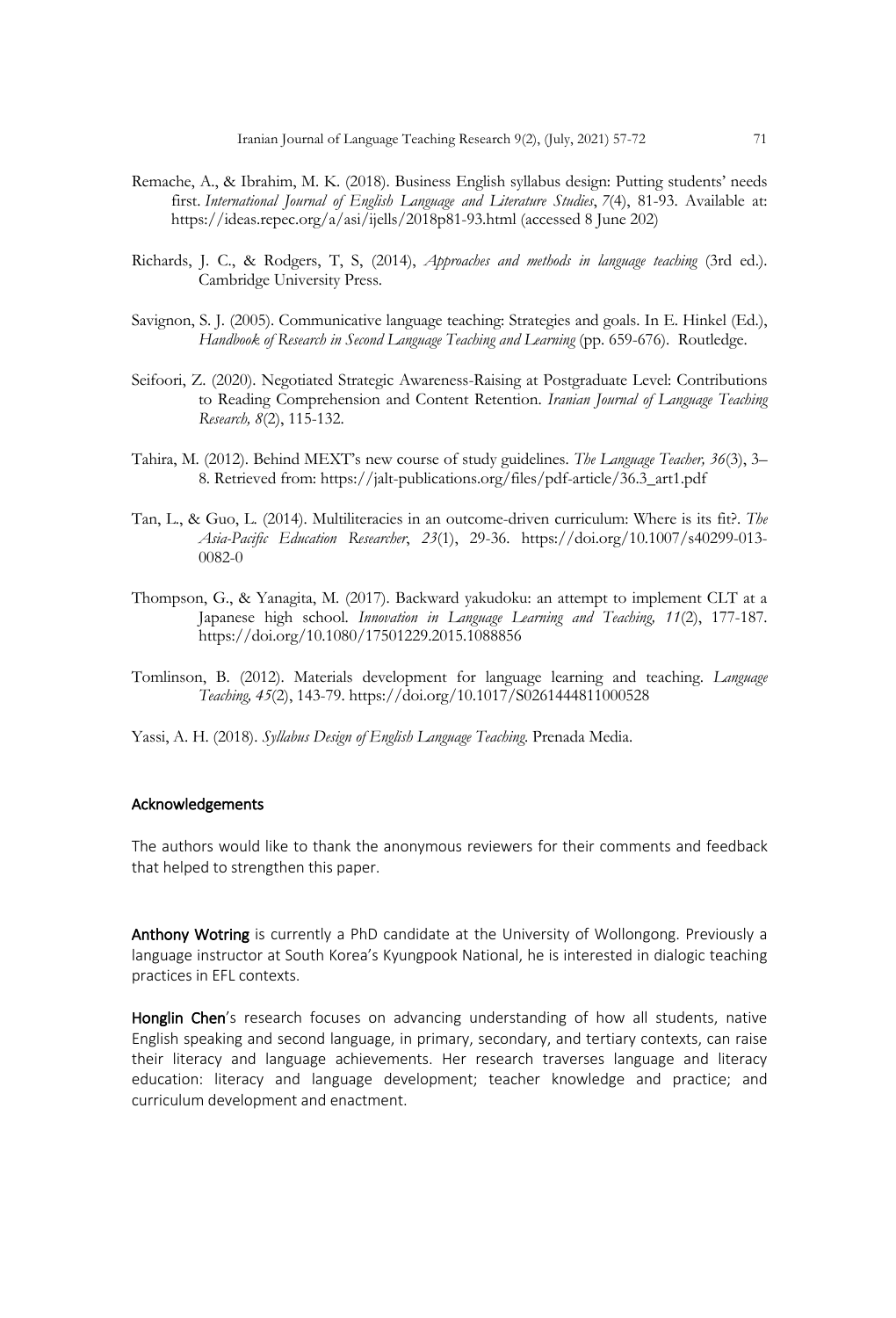- Remache, A., & Ibrahim, M. K. (2018). Business English syllabus design: Putting students' needs first. *International Journal of English Language and Literature Studies*, *7*(4), 81-93. Available at: https://ideas.repec.org/a/asi/ijells/2018p81-93.html (accessed 8 June 202)
- Richards, J. C., & Rodgers, T, S, (2014), *Approaches and methods in language teaching* (3rd ed.). Cambridge University Press.
- Savignon, S. J. (2005). Communicative language teaching: Strategies and goals. In E. Hinkel (Ed.), Handbook of Research in Second Language Teaching and Learning (pp. 659-676). Routledge.
- Seifoori, Z. (2020). Negotiated Strategic Awareness-Raising at Postgraduate Level: Contributions to Reading Comprehension and Content Retention. *Iranian Journal of Language Teaching Research, 8*(2), 115-132.
- Tahira, M. (2012). Behind MEXT's new course of study guidelines. *The Language Teacher, 36*(3), 3– 8. Retrieved from: https://jalt-publications.org/files/pdf-article/36.3\_art1.pdf
- Tan, L., & Guo, L. (2014). Multiliteracies in an outcome-driven curriculum: Where is its fit?. *The Asia-Pacific Education Researcher*, *23*(1), 29-36. https://doi.org/10.1007/s40299-013- 0082-0
- Thompson, G., & Yanagita, M. (2017). Backward yakudoku: an attempt to implement CLT at a Japanese high school. *Innovation in Language Learning and Teaching, 11*(2), 177-187. https://doi.org/10.1080/17501229.2015.1088856
- Tomlinson, B. (2012). Materials development for language learning and teaching. *Language Teaching, 45*(2), 143-79. https://doi.org/10.1017/S0261444811000528
- Yassi, A. H. (2018). *Syllabus Design of English Language Teaching*. Prenada Media.

# Acknowledgements

The authors would like to thank the anonymous reviewers for their comments and feedback that helped to strengthen this paper.

Anthony Wotring is currently a PhD candidate at the University of Wollongong. Previously a language instructor at South Korea's Kyungpook National, he is interested in dialogic teaching practices in EFL contexts.

Honglin Chen's research focuses on advancing understanding of how all students, native English speaking and second language, in primary, secondary, and tertiary contexts, can raise their literacy and language achievements. Her research traverses language and literacy education: literacy and language development; teacher knowledge and practice; and curriculum development and enactment.